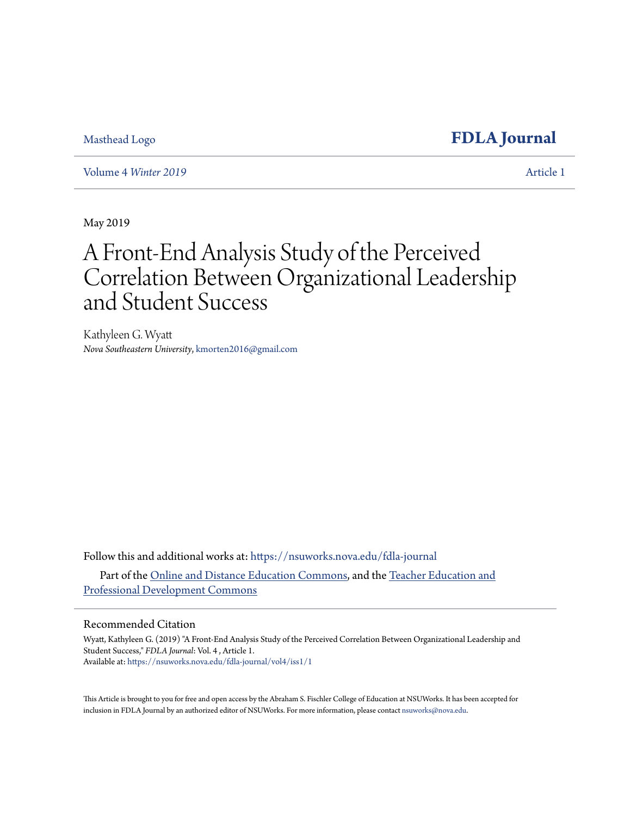## [Masthead Logo](http://nsuworks.nova.edu/?utm_source=nsuworks.nova.edu%2Ffdla-journal%2Fvol4%2Fiss1%2F1&utm_medium=PDF&utm_campaign=PDFCoverPages) **[FDLA Journal](https://nsuworks.nova.edu/fdla-journal?utm_source=nsuworks.nova.edu%2Ffdla-journal%2Fvol4%2Fiss1%2F1&utm_medium=PDF&utm_campaign=PDFCoverPages)**

Volume 4 *[Winter 2019](https://nsuworks.nova.edu/fdla-journal/vol4?utm_source=nsuworks.nova.edu%2Ffdla-journal%2Fvol4%2Fiss1%2F1&utm_medium=PDF&utm_campaign=PDFCoverPages)* [Article 1](https://nsuworks.nova.edu/fdla-journal/vol4/iss1/1?utm_source=nsuworks.nova.edu%2Ffdla-journal%2Fvol4%2Fiss1%2F1&utm_medium=PDF&utm_campaign=PDFCoverPages)

May 2019

# A Front-End Analysis Study of the Perceived Correlation Between Organizational Leadership and Student Success

Kathyleen G. Wyatt *Nova Southeastern University*, kmorten2016@gmail.com

Follow this and additional works at: [https://nsuworks.nova.edu/fdla-journal](https://nsuworks.nova.edu/fdla-journal?utm_source=nsuworks.nova.edu%2Ffdla-journal%2Fvol4%2Fiss1%2F1&utm_medium=PDF&utm_campaign=PDFCoverPages) Part of the [Online and Distance Education Commons](http://network.bepress.com/hgg/discipline/1296?utm_source=nsuworks.nova.edu%2Ffdla-journal%2Fvol4%2Fiss1%2F1&utm_medium=PDF&utm_campaign=PDFCoverPages), and the [Teacher Education and](http://network.bepress.com/hgg/discipline/803?utm_source=nsuworks.nova.edu%2Ffdla-journal%2Fvol4%2Fiss1%2F1&utm_medium=PDF&utm_campaign=PDFCoverPages) [Professional Development Commons](http://network.bepress.com/hgg/discipline/803?utm_source=nsuworks.nova.edu%2Ffdla-journal%2Fvol4%2Fiss1%2F1&utm_medium=PDF&utm_campaign=PDFCoverPages)

#### Recommended Citation

Wyatt, Kathyleen G. (2019) "A Front-End Analysis Study of the Perceived Correlation Between Organizational Leadership and Student Success," *FDLA Journal*: Vol. 4 , Article 1. Available at: [https://nsuworks.nova.edu/fdla-journal/vol4/iss1/1](https://nsuworks.nova.edu/fdla-journal/vol4/iss1/1?utm_source=nsuworks.nova.edu%2Ffdla-journal%2Fvol4%2Fiss1%2F1&utm_medium=PDF&utm_campaign=PDFCoverPages)

This Article is brought to you for free and open access by the Abraham S. Fischler College of Education at NSUWorks. It has been accepted for inclusion in FDLA Journal by an authorized editor of NSUWorks. For more information, please contact [nsuworks@nova.edu.](mailto:nsuworks@nova.edu)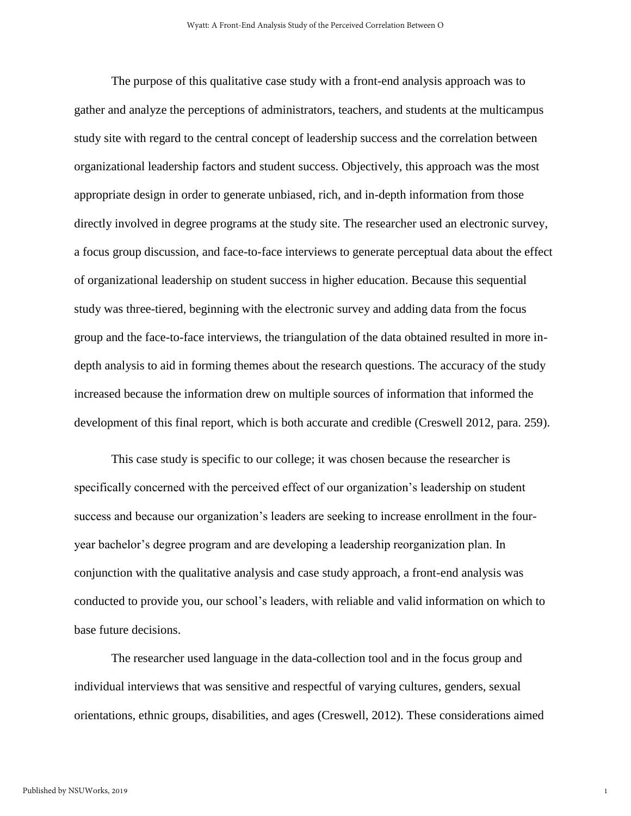The purpose of this qualitative case study with a front-end analysis approach was to gather and analyze the perceptions of administrators, teachers, and students at the multicampus study site with regard to the central concept of leadership success and the correlation between organizational leadership factors and student success. Objectively, this approach was the most appropriate design in order to generate unbiased, rich, and in-depth information from those directly involved in degree programs at the study site. The researcher used an electronic survey, a focus group discussion, and face-to-face interviews to generate perceptual data about the effect of organizational leadership on student success in higher education. Because this sequential study was three-tiered, beginning with the electronic survey and adding data from the focus group and the face-to-face interviews, the triangulation of the data obtained resulted in more indepth analysis to aid in forming themes about the research questions. The accuracy of the study increased because the information drew on multiple sources of information that informed the development of this final report, which is both accurate and credible (Creswell 2012, para. 259).

This case study is specific to our college; it was chosen because the researcher is specifically concerned with the perceived effect of our organization's leadership on student success and because our organization's leaders are seeking to increase enrollment in the fouryear bachelor's degree program and are developing a leadership reorganization plan. In conjunction with the qualitative analysis and case study approach, a front-end analysis was conducted to provide you, our school's leaders, with reliable and valid information on which to base future decisions.

The researcher used language in the data-collection tool and in the focus group and individual interviews that was sensitive and respectful of varying cultures, genders, sexual orientations, ethnic groups, disabilities, and ages (Creswell, 2012). These considerations aimed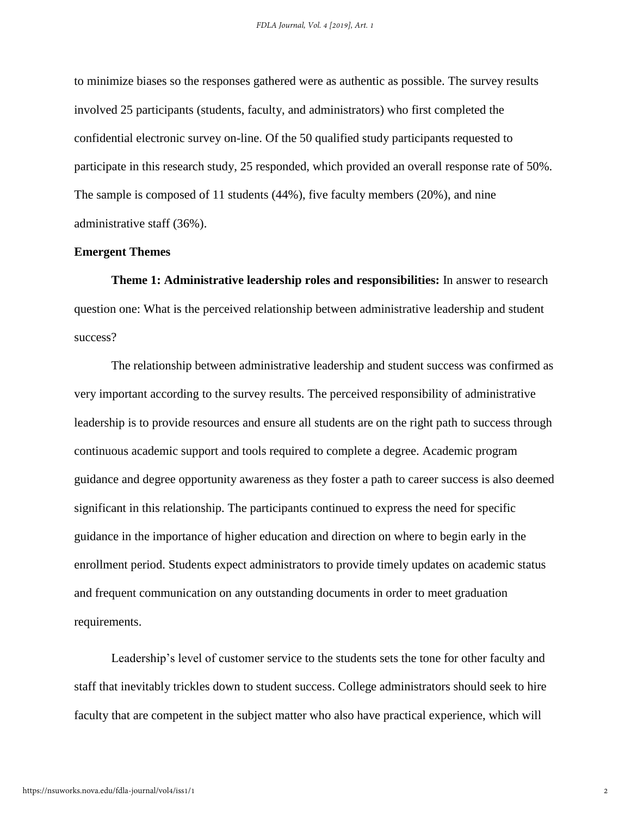to minimize biases so the responses gathered were as authentic as possible. The survey results involved 25 participants (students, faculty, and administrators) who first completed the confidential electronic survey on-line. Of the 50 qualified study participants requested to participate in this research study, 25 responded, which provided an overall response rate of 50%. The sample is composed of 11 students (44%), five faculty members (20%), and nine administrative staff (36%).

#### **Emergent Themes**

**Theme 1: Administrative leadership roles and responsibilities:** In answer to research question one: What is the perceived relationship between administrative leadership and student success?

The relationship between administrative leadership and student success was confirmed as very important according to the survey results. The perceived responsibility of administrative leadership is to provide resources and ensure all students are on the right path to success through continuous academic support and tools required to complete a degree. Academic program guidance and degree opportunity awareness as they foster a path to career success is also deemed significant in this relationship. The participants continued to express the need for specific guidance in the importance of higher education and direction on where to begin early in the enrollment period. Students expect administrators to provide timely updates on academic status and frequent communication on any outstanding documents in order to meet graduation requirements.

Leadership's level of customer service to the students sets the tone for other faculty and staff that inevitably trickles down to student success. College administrators should seek to hire faculty that are competent in the subject matter who also have practical experience, which will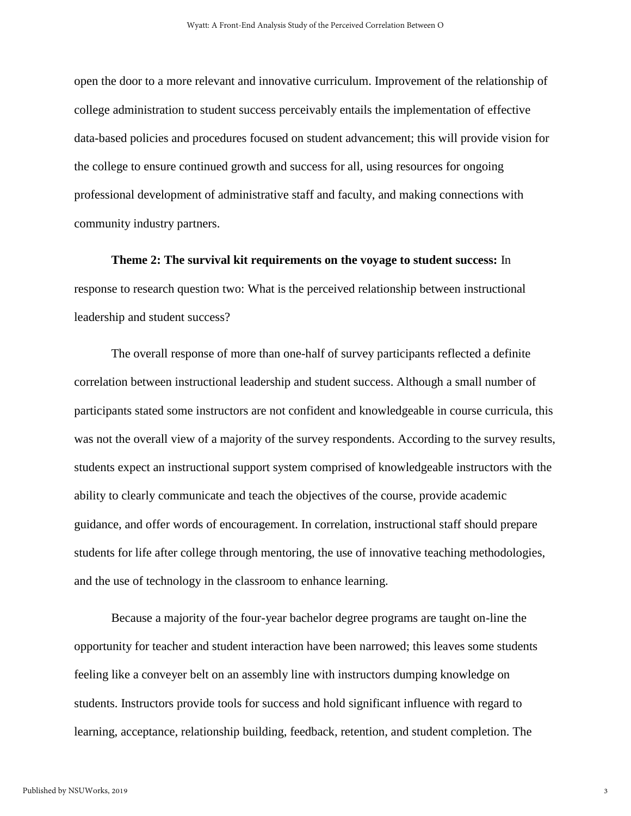open the door to a more relevant and innovative curriculum. Improvement of the relationship of college administration to student success perceivably entails the implementation of effective data-based policies and procedures focused on student advancement; this will provide vision for the college to ensure continued growth and success for all, using resources for ongoing professional development of administrative staff and faculty, and making connections with community industry partners.

**Theme 2: The survival kit requirements on the voyage to student success:** In response to research question two: What is the perceived relationship between instructional leadership and student success?

The overall response of more than one-half of survey participants reflected a definite correlation between instructional leadership and student success. Although a small number of participants stated some instructors are not confident and knowledgeable in course curricula, this was not the overall view of a majority of the survey respondents. According to the survey results, students expect an instructional support system comprised of knowledgeable instructors with the ability to clearly communicate and teach the objectives of the course, provide academic guidance, and offer words of encouragement. In correlation, instructional staff should prepare students for life after college through mentoring, the use of innovative teaching methodologies, and the use of technology in the classroom to enhance learning.

Because a majority of the four-year bachelor degree programs are taught on-line the opportunity for teacher and student interaction have been narrowed; this leaves some students feeling like a conveyer belt on an assembly line with instructors dumping knowledge on students. Instructors provide tools for success and hold significant influence with regard to learning, acceptance, relationship building, feedback, retention, and student completion. The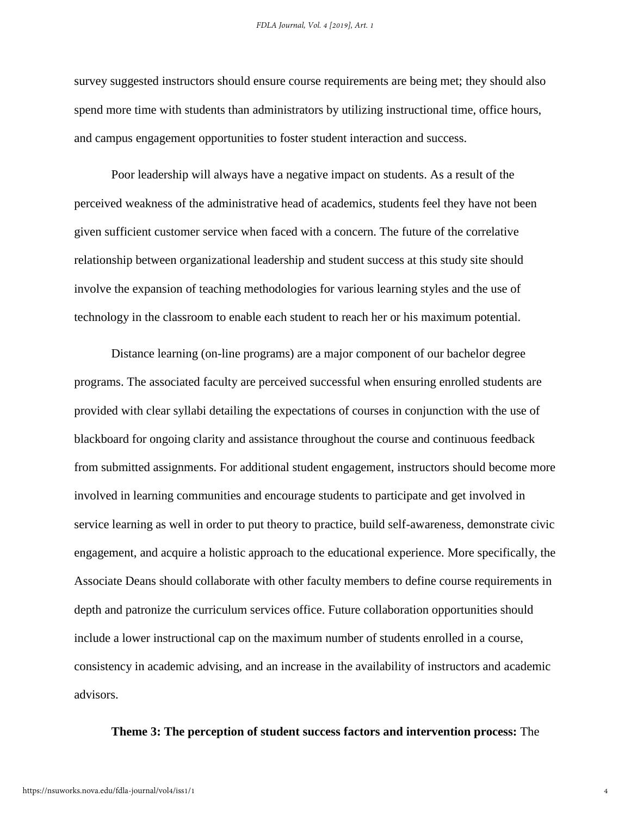survey suggested instructors should ensure course requirements are being met; they should also spend more time with students than administrators by utilizing instructional time, office hours, and campus engagement opportunities to foster student interaction and success.

Poor leadership will always have a negative impact on students. As a result of the perceived weakness of the administrative head of academics, students feel they have not been given sufficient customer service when faced with a concern. The future of the correlative relationship between organizational leadership and student success at this study site should involve the expansion of teaching methodologies for various learning styles and the use of technology in the classroom to enable each student to reach her or his maximum potential.

Distance learning (on-line programs) are a major component of our bachelor degree programs. The associated faculty are perceived successful when ensuring enrolled students are provided with clear syllabi detailing the expectations of courses in conjunction with the use of blackboard for ongoing clarity and assistance throughout the course and continuous feedback from submitted assignments. For additional student engagement, instructors should become more involved in learning communities and encourage students to participate and get involved in service learning as well in order to put theory to practice, build self-awareness, demonstrate civic engagement, and acquire a holistic approach to the educational experience. More specifically, the Associate Deans should collaborate with other faculty members to define course requirements in depth and patronize the curriculum services office. Future collaboration opportunities should include a lower instructional cap on the maximum number of students enrolled in a course, consistency in academic advising, and an increase in the availability of instructors and academic advisors.

#### **Theme 3: The perception of student success factors and intervention process:** The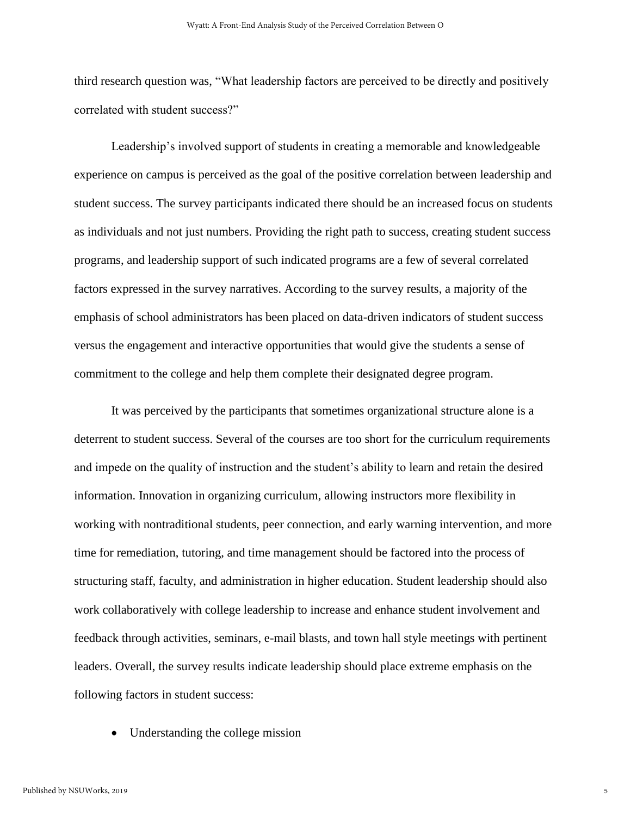third research question was, "What leadership factors are perceived to be directly and positively correlated with student success?"

Leadership's involved support of students in creating a memorable and knowledgeable experience on campus is perceived as the goal of the positive correlation between leadership and student success. The survey participants indicated there should be an increased focus on students as individuals and not just numbers. Providing the right path to success, creating student success programs, and leadership support of such indicated programs are a few of several correlated factors expressed in the survey narratives. According to the survey results, a majority of the emphasis of school administrators has been placed on data-driven indicators of student success versus the engagement and interactive opportunities that would give the students a sense of commitment to the college and help them complete their designated degree program.

It was perceived by the participants that sometimes organizational structure alone is a deterrent to student success. Several of the courses are too short for the curriculum requirements and impede on the quality of instruction and the student's ability to learn and retain the desired information. Innovation in organizing curriculum, allowing instructors more flexibility in working with nontraditional students, peer connection, and early warning intervention, and more time for remediation, tutoring, and time management should be factored into the process of structuring staff, faculty, and administration in higher education. Student leadership should also work collaboratively with college leadership to increase and enhance student involvement and feedback through activities, seminars, e-mail blasts, and town hall style meetings with pertinent leaders. Overall, the survey results indicate leadership should place extreme emphasis on the following factors in student success:

• Understanding the college mission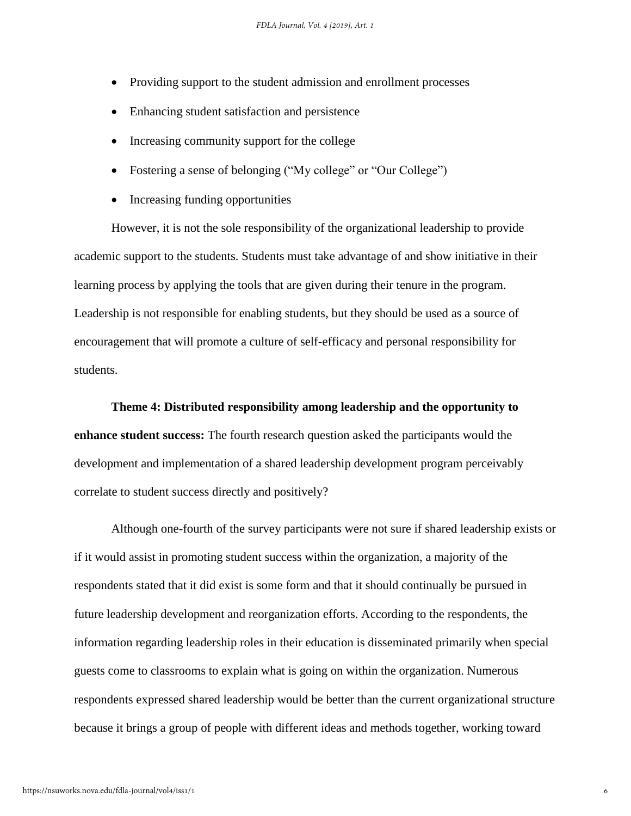- Providing support to the student admission and enrollment processes
- Enhancing student satisfaction and persistence
- Increasing community support for the college
- Fostering a sense of belonging ("My college" or "Our College")
- Increasing funding opportunities

However, it is not the sole responsibility of the organizational leadership to provide academic support to the students. Students must take advantage of and show initiative in their learning process by applying the tools that are given during their tenure in the program. Leadership is not responsible for enabling students, but they should be used as a source of encouragement that will promote a culture of self-efficacy and personal responsibility for students.

**Theme 4: Distributed responsibility among leadership and the opportunity to enhance student success:** The fourth research question asked the participants would the development and implementation of a shared leadership development program perceivably correlate to student success directly and positively?

Although one-fourth of the survey participants were not sure if shared leadership exists or if it would assist in promoting student success within the organization, a majority of the respondents stated that it did exist is some form and that it should continually be pursued in future leadership development and reorganization efforts. According to the respondents, the information regarding leadership roles in their education is disseminated primarily when special guests come to classrooms to explain what is going on within the organization. Numerous respondents expressed shared leadership would be better than the current organizational structure because it brings a group of people with different ideas and methods together, working toward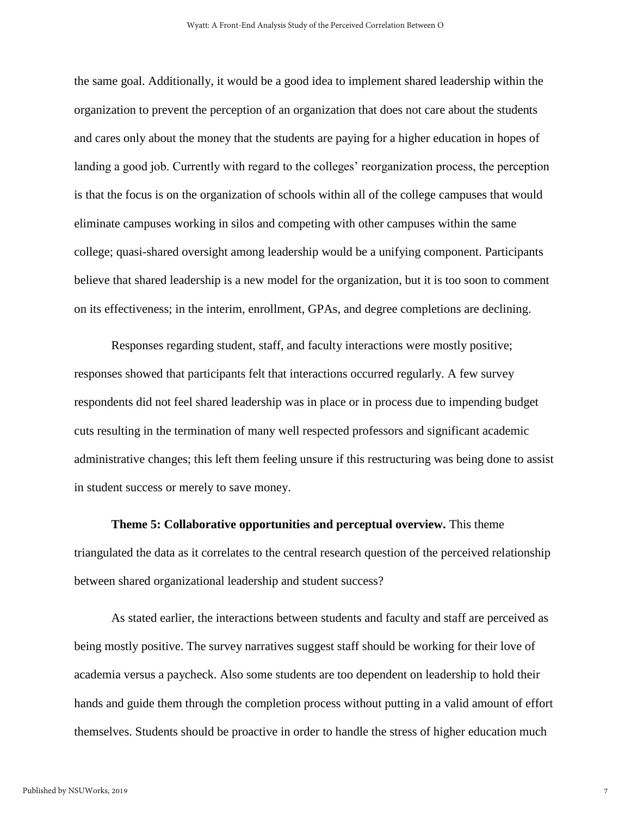the same goal. Additionally, it would be a good idea to implement shared leadership within the organization to prevent the perception of an organization that does not care about the students and cares only about the money that the students are paying for a higher education in hopes of landing a good job. Currently with regard to the colleges' reorganization process, the perception is that the focus is on the organization of schools within all of the college campuses that would eliminate campuses working in silos and competing with other campuses within the same college; quasi-shared oversight among leadership would be a unifying component. Participants believe that shared leadership is a new model for the organization, but it is too soon to comment on its effectiveness; in the interim, enrollment, GPAs, and degree completions are declining.

Responses regarding student, staff, and faculty interactions were mostly positive; responses showed that participants felt that interactions occurred regularly. A few survey respondents did not feel shared leadership was in place or in process due to impending budget cuts resulting in the termination of many well respected professors and significant academic administrative changes; this left them feeling unsure if this restructuring was being done to assist in student success or merely to save money.

**Theme 5: Collaborative opportunities and perceptual overview.** This theme triangulated the data as it correlates to the central research question of the perceived relationship between shared organizational leadership and student success?

As stated earlier, the interactions between students and faculty and staff are perceived as being mostly positive. The survey narratives suggest staff should be working for their love of academia versus a paycheck. Also some students are too dependent on leadership to hold their hands and guide them through the completion process without putting in a valid amount of effort themselves. Students should be proactive in order to handle the stress of higher education much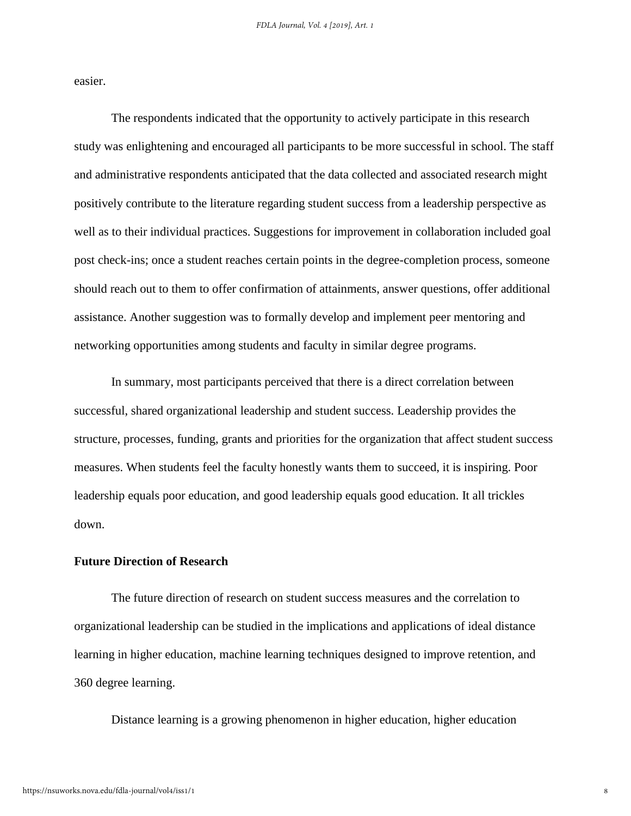easier.

The respondents indicated that the opportunity to actively participate in this research study was enlightening and encouraged all participants to be more successful in school. The staff and administrative respondents anticipated that the data collected and associated research might positively contribute to the literature regarding student success from a leadership perspective as well as to their individual practices. Suggestions for improvement in collaboration included goal post check-ins; once a student reaches certain points in the degree-completion process, someone should reach out to them to offer confirmation of attainments, answer questions, offer additional assistance. Another suggestion was to formally develop and implement peer mentoring and networking opportunities among students and faculty in similar degree programs.

In summary, most participants perceived that there is a direct correlation between successful, shared organizational leadership and student success. Leadership provides the structure, processes, funding, grants and priorities for the organization that affect student success measures. When students feel the faculty honestly wants them to succeed, it is inspiring. Poor leadership equals poor education, and good leadership equals good education. It all trickles down.

### **Future Direction of Research**

The future direction of research on student success measures and the correlation to organizational leadership can be studied in the implications and applications of ideal distance learning in higher education, machine learning techniques designed to improve retention, and 360 degree learning.

Distance learning is a growing phenomenon in higher education, higher education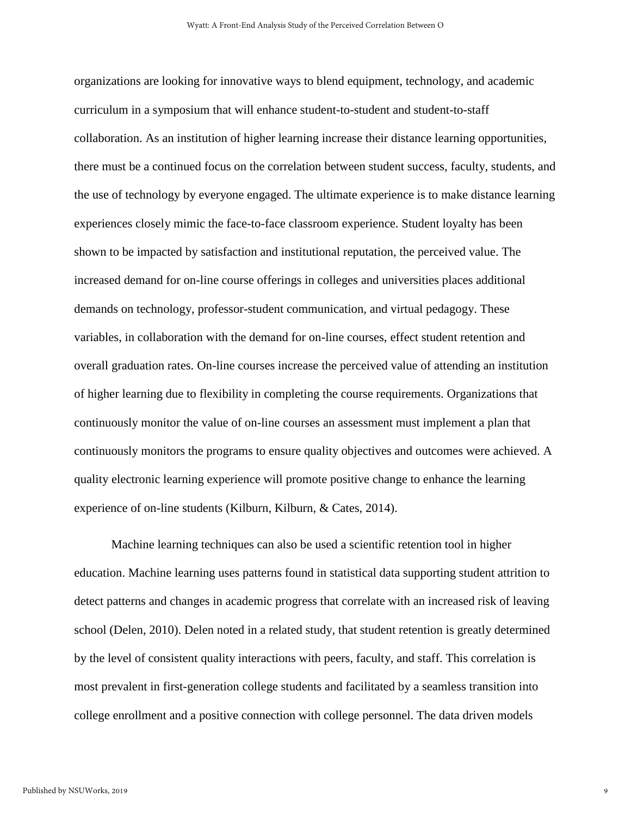organizations are looking for innovative ways to blend equipment, technology, and academic curriculum in a symposium that will enhance student-to-student and student-to-staff collaboration. As an institution of higher learning increase their distance learning opportunities, there must be a continued focus on the correlation between student success, faculty, students, and the use of technology by everyone engaged. The ultimate experience is to make distance learning experiences closely mimic the face-to-face classroom experience. Student loyalty has been shown to be impacted by satisfaction and institutional reputation, the perceived value. The increased demand for on-line course offerings in colleges and universities places additional demands on technology, professor-student communication, and virtual pedagogy. These variables, in collaboration with the demand for on-line courses, effect student retention and overall graduation rates. On-line courses increase the perceived value of attending an institution of higher learning due to flexibility in completing the course requirements. Organizations that continuously monitor the value of on-line courses an assessment must implement a plan that continuously monitors the programs to ensure quality objectives and outcomes were achieved. A quality electronic learning experience will promote positive change to enhance the learning experience of on-line students (Kilburn, Kilburn, & Cates, 2014).

Machine learning techniques can also be used a scientific retention tool in higher education. Machine learning uses patterns found in statistical data supporting student attrition to detect patterns and changes in academic progress that correlate with an increased risk of leaving school (Delen, 2010). Delen noted in a related study, that student retention is greatly determined by the level of consistent quality interactions with peers, faculty, and staff. This correlation is most prevalent in first-generation college students and facilitated by a seamless transition into college enrollment and a positive connection with college personnel. The data driven models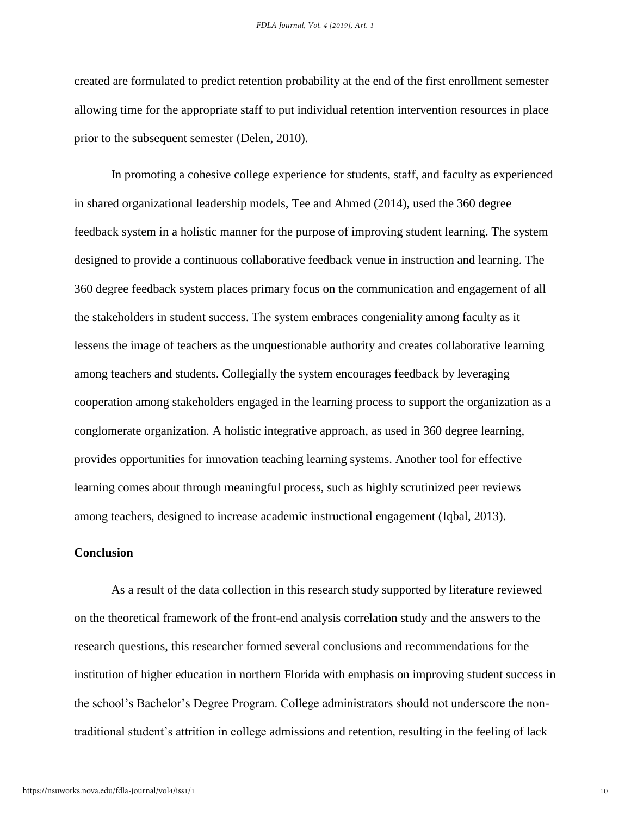created are formulated to predict retention probability at the end of the first enrollment semester allowing time for the appropriate staff to put individual retention intervention resources in place prior to the subsequent semester (Delen, 2010).

In promoting a cohesive college experience for students, staff, and faculty as experienced in shared organizational leadership models, Tee and Ahmed (2014), used the 360 degree feedback system in a holistic manner for the purpose of improving student learning. The system designed to provide a continuous collaborative feedback venue in instruction and learning. The 360 degree feedback system places primary focus on the communication and engagement of all the stakeholders in student success. The system embraces congeniality among faculty as it lessens the image of teachers as the unquestionable authority and creates collaborative learning among teachers and students. Collegially the system encourages feedback by leveraging cooperation among stakeholders engaged in the learning process to support the organization as a conglomerate organization. A holistic integrative approach, as used in 360 degree learning, provides opportunities for innovation teaching learning systems. Another tool for effective learning comes about through meaningful process, such as highly scrutinized peer reviews among teachers, designed to increase academic instructional engagement (Iqbal, 2013).

#### **Conclusion**

As a result of the data collection in this research study supported by literature reviewed on the theoretical framework of the front-end analysis correlation study and the answers to the research questions, this researcher formed several conclusions and recommendations for the institution of higher education in northern Florida with emphasis on improving student success in the school's Bachelor's Degree Program. College administrators should not underscore the nontraditional student's attrition in college admissions and retention, resulting in the feeling of lack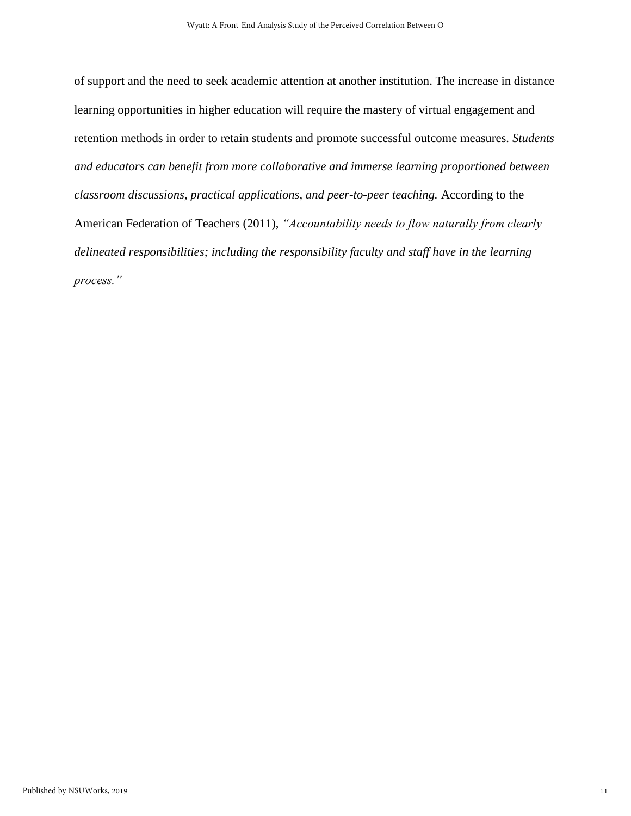of support and the need to seek academic attention at another institution. The increase in distance learning opportunities in higher education will require the mastery of virtual engagement and retention methods in order to retain students and promote successful outcome measures. *Students and educators can benefit from more collaborative and immerse learning proportioned between classroom discussions, practical applications, and peer-to-peer teaching.* According to the American Federation of Teachers (2011), *"Accountability needs to flow naturally from clearly delineated responsibilities; including the responsibility faculty and staff have in the learning process."*